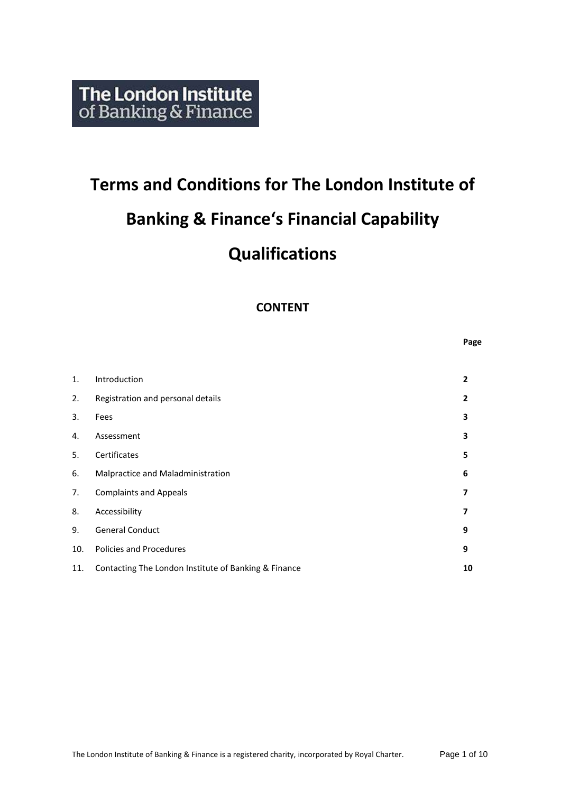# **Terms and Conditions for The London Institute of Banking & Finance's Financial Capability Qualifications**

# **CONTENT**

**Page**

| 1.  | Introduction                                         | $\overline{2}$ |
|-----|------------------------------------------------------|----------------|
| 2.  | Registration and personal details                    | $\overline{2}$ |
| 3.  | Fees                                                 | 3              |
| 4.  | Assessment                                           | 3              |
| 5.  | Certificates                                         | 5              |
| 6.  | Malpractice and Maladministration                    | 6              |
| 7.  | <b>Complaints and Appeals</b>                        | 7              |
| 8.  | Accessibility                                        | 7              |
| 9.  | <b>General Conduct</b>                               | 9              |
| 10. | <b>Policies and Procedures</b>                       | 9              |
| 11. | Contacting The London Institute of Banking & Finance | 10             |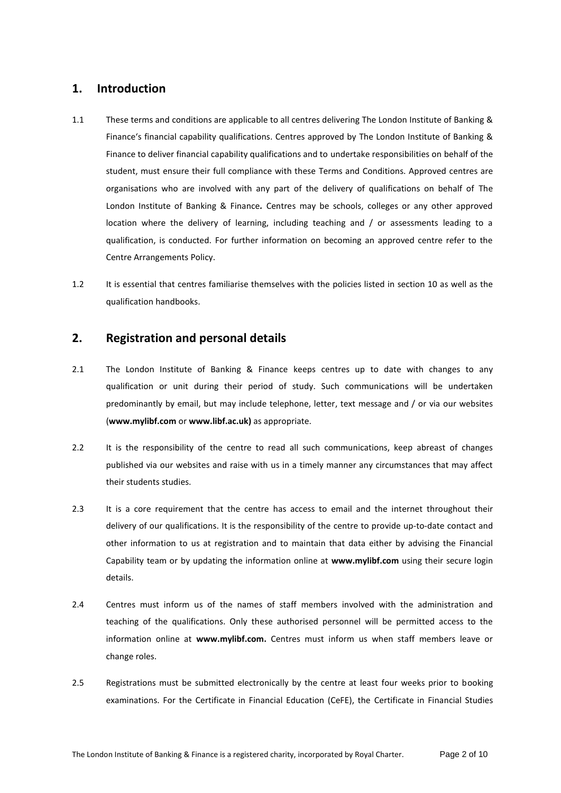## **1. Introduction**

- 1.1 These terms and conditions are applicable to all centres delivering The London Institute of Banking & Finance's financial capability qualifications. Centres approved by The London Institute of Banking & Finance to deliver financial capability qualifications and to undertake responsibilities on behalf of the student, must ensure their full compliance with these Terms and Conditions. Approved centres are organisations who are involved with any part of the delivery of qualifications on behalf of The London Institute of Banking & Finance*.* Centres may be schools, colleges or any other approved location where the delivery of learning, including teaching and / or assessments leading to a qualification, is conducted. For further information on becoming an approved centre refer to the Centre Arrangements Policy.
- 1.2 It is essential that centres familiarise themselves with the policies listed in section 10 as well as the qualification handbooks.

## **2. Registration and personal details**

- 2.1 The London Institute of Banking & Finance keeps centres up to date with changes to any qualification or unit during their period of study. Such communications will be undertaken predominantly by email, but may include telephone, letter, text message and / or via our websites (**www.mylibf.com** or **www.libf.ac.uk)** as appropriate.
- 2.2 It is the responsibility of the centre to read all such communications, keep abreast of changes published via our websites and raise with us in a timely manner any circumstances that may affect their students studies.
- 2.3 It is a core requirement that the centre has access to email and the internet throughout their delivery of our qualifications. It is the responsibility of the centre to provide up-to-date contact and other information to us at registration and to maintain that data either by advising the Financial Capability team or by updating the information online at **www.mylibf.com** using their secure login details.
- 2.4 Centres must inform us of the names of staff members involved with the administration and teaching of the qualifications. Only these authorised personnel will be permitted access to the information online at **www.mylibf.com.** Centres must inform us when staff members leave or change roles.
- 2.5 Registrations must be submitted electronically by the centre at least four weeks prior to booking examinations. For the Certificate in Financial Education (CeFE), the Certificate in Financial Studies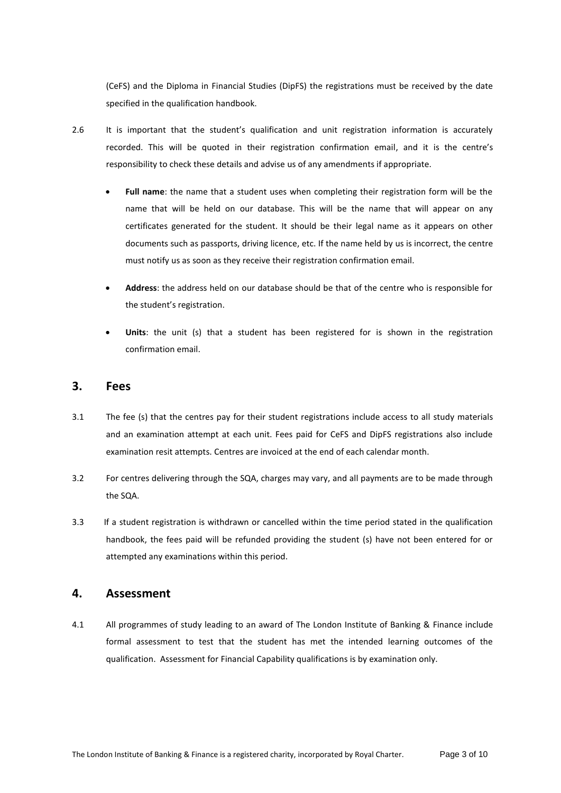(CeFS) and the Diploma in Financial Studies (DipFS) the registrations must be received by the date specified in the qualification handbook.

- 2.6 It is important that the student's qualification and unit registration information is accurately recorded. This will be quoted in their registration confirmation email, and it is the centre's responsibility to check these details and advise us of any amendments if appropriate.
	- **Full name**: the name that a student uses when completing their registration form will be the name that will be held on our database. This will be the name that will appear on any certificates generated for the student. It should be their legal name as it appears on other documents such as passports, driving licence, etc. If the name held by us is incorrect, the centre must notify us as soon as they receive their registration confirmation email.
	- **Address**: the address held on our database should be that of the centre who is responsible for the student's registration.
	- **Units**: the unit (s) that a student has been registered for is shown in the registration confirmation email.

## **3. Fees**

- 3.1 The fee (s) that the centres pay for their student registrations include access to all study materials and an examination attempt at each unit. Fees paid for CeFS and DipFS registrations also include examination resit attempts. Centres are invoiced at the end of each calendar month.
- 3.2 For centres delivering through the SQA, charges may vary, and all payments are to be made through the SQA.
- 3.3 If a student registration is withdrawn or cancelled within the time period stated in the qualification handbook, the fees paid will be refunded providing the student (s) have not been entered for or attempted any examinations within this period.

## **4. Assessment**

4.1 All programmes of study leading to an award of The London Institute of Banking & Finance include formal assessment to test that the student has met the intended learning outcomes of the qualification. Assessment for Financial Capability qualifications is by examination only.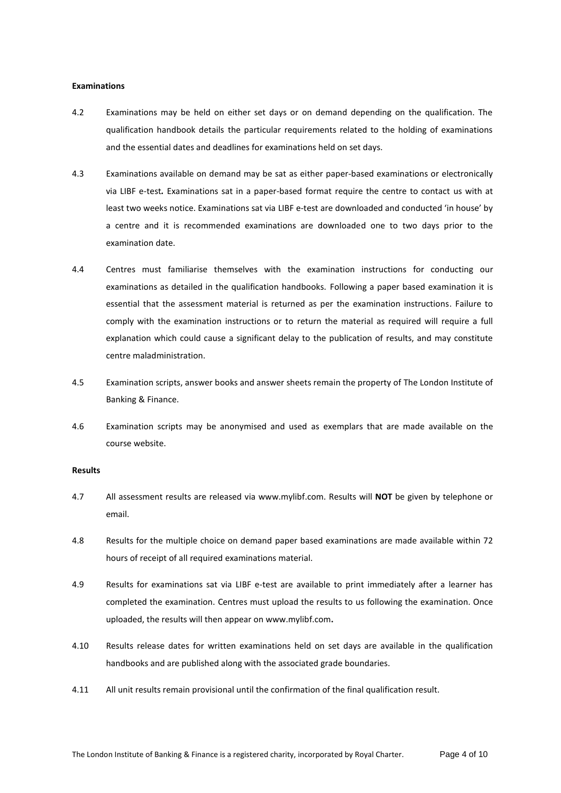#### **Examinations**

- 4.2 Examinations may be held on either set days or on demand depending on the qualification. The qualification handbook details the particular requirements related to the holding of examinations and the essential dates and deadlines for examinations held on set days.
- 4.3 Examinations available on demand may be sat as either paper-based examinations or electronically via LIBF e-test*.* Examinations sat in a paper-based format require the centre to contact us with at least two weeks notice. Examinations sat via LIBF e-test are downloaded and conducted 'in house' by a centre and it is recommended examinations are downloaded one to two days prior to the examination date.
- 4.4 Centres must familiarise themselves with the examination instructions for conducting our examinations as detailed in the qualification handbooks. Following a paper based examination it is essential that the assessment material is returned as per the examination instructions. Failure to comply with the examination instructions or to return the material as required will require a full explanation which could cause a significant delay to the publication of results, and may constitute centre maladministration.
- 4.5 Examination scripts, answer books and answer sheets remain the property of The London Institute of Banking & Finance.
- 4.6 Examination scripts may be anonymised and used as exemplars that are made available on the course website.

#### **Results**

- 4.7 All assessment results are released via [www.mylibf.com.](http://www.mylibf.com/) Results will **NOT** be given by telephone or email.
- 4.8 Results for the multiple choice on demand paper based examinations are made available within 72 hours of receipt of all required examinations material.
- 4.9 Results for examinations sat via LIBF e-test are available to print immediately after a learner has completed the examination. Centres must upload the results to us following the examination. Once uploaded, the results will then appear on [www.mylibf.com](http://www.mylibf.com/)**.**
- 4.10 Results release dates for written examinations held on set days are available in the qualification handbooks and are published along with the associated grade boundaries.
- 4.11 All unit results remain provisional until the confirmation of the final qualification result.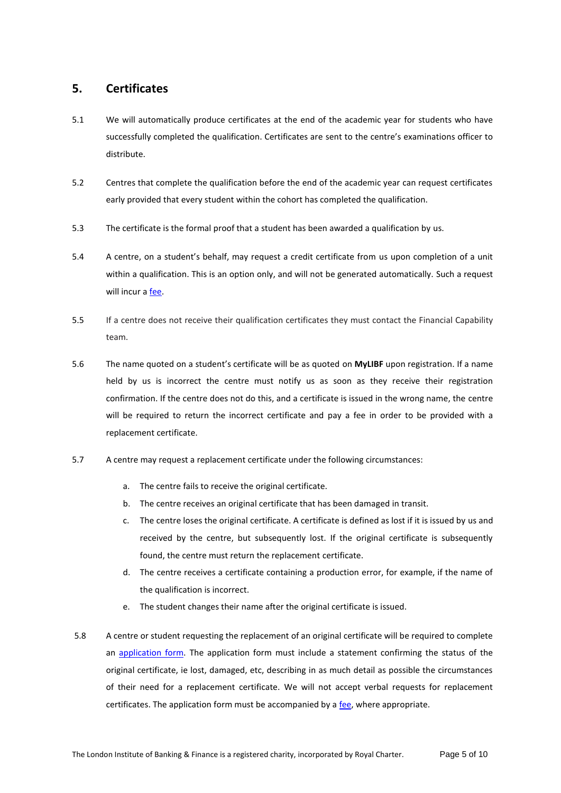## **5. Certificates**

- 5.1 We will automatically produce certificates at the end of the academic year for students who have successfully completed the qualification. Certificates are sent to the centre's examinations officer to distribute.
- 5.2 Centres that complete the qualification before the end of the academic year can request certificates early provided that every student within the cohort has completed the qualification.
- 5.3 The certificate is the formal proof that a student has been awarded a qualification by us.
- 5.4 A centre, on a student's behalf, may request a credit certificate from us upon completion of a unit within a qualification. This is an option only, and will not be generated automatically. Such a request will incur a [fee.](http://www.libf.ac.uk/docs/default-source/financial-capability/teacher-exam-officer-information/additional-fees.pdf?sfvrsn=2)
- 5.5 If a centre does not receive their qualification certificates they must contact the Financial Capability team.
- 5.6 The name quoted on a student's certificate will be as quoted on **MyLIBF** upon registration. If a name held by us is incorrect the centre must notify us as soon as they receive their registration confirmation. If the centre does not do this, and a certificate is issued in the wrong name, the centre will be required to return the incorrect certificate and pay a fee in order to be provided with a replacement certificate.
- 5.7 A centre may request a replacement certificate under the following circumstances:
	- a. The centre fails to receive the original certificate.
	- b. The centre receives an original certificate that has been damaged in transit.
	- c. The centre loses the original certificate. A certificate is defined as lost if it is issued by us and received by the centre, but subsequently lost. If the original certificate is subsequently found, the centre must return the replacement certificate.
	- d. The centre receives a certificate containing a production error, for example, if the name of the qualification is incorrect.
	- e. The student changes their name after the original certificate is issued.
- 5.8 A centre or student requesting the replacement of an original certificate will be required to complete an [application form.](http://www.libf.ac.uk/study/financial-capability/teacher-and-exam-officer-information) The application form must include a statement confirming the status of the original certificate, ie lost, damaged, etc, describing in as much detail as possible the circumstances of their need for a replacement certificate. We will not accept verbal requests for replacement certificates. The application form must be accompanied by a [fee,](http://www.libf.ac.uk/docs/default-source/financial-capability/teacher-exam-officer-information/additional-fees.pdf?sfvrsn=2) where appropriate.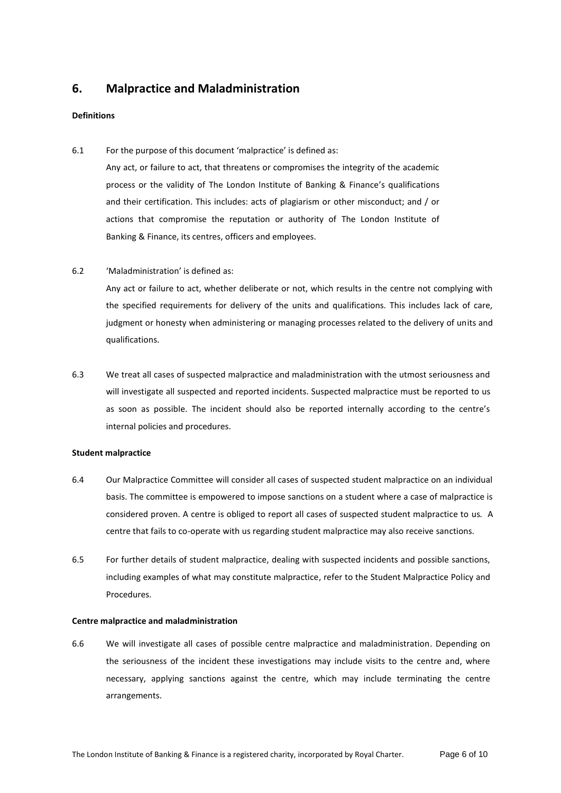## **6. Malpractice and Maladministration**

#### **Definitions**

6.1 For the purpose of this document 'malpractice' is defined as:

Any act, or failure to act, that threatens or compromises the integrity of the academic process or the validity of The London Institute of Banking & Finance's qualifications and their certification. This includes: acts of plagiarism or other misconduct; and / or actions that compromise the reputation or authority of The London Institute of Banking & Finance, its centres, officers and employees.

6.2 'Maladministration' is defined as:

Any act or failure to act, whether deliberate or not, which results in the centre not complying with the specified requirements for delivery of the units and qualifications. This includes lack of care, judgment or honesty when administering or managing processes related to the delivery of units and qualifications.

6.3 We treat all cases of suspected malpractice and maladministration with the utmost seriousness and will investigate all suspected and reported incidents. Suspected malpractice must be reported to us as soon as possible. The incident should also be reported internally according to the centre's internal policies and procedures.

#### **Student malpractice**

- 6.4 Our Malpractice Committee will consider all cases of suspected student malpractice on an individual basis. The committee is empowered to impose sanctions on a student where a case of malpractice is considered proven. A centre is obliged to report all cases of suspected student malpractice to us*.* A centre that fails to co-operate with us regarding student malpractice may also receive sanctions.
- 6.5 For further details of student malpractice, dealing with suspected incidents and possible sanctions, including examples of what may constitute malpractice, refer to the Student Malpractice Policy and Procedures.

#### **Centre malpractice and maladministration**

6.6 We will investigate all cases of possible centre malpractice and maladministration. Depending on the seriousness of the incident these investigations may include visits to the centre and, where necessary, applying sanctions against the centre, which may include terminating the centre arrangements.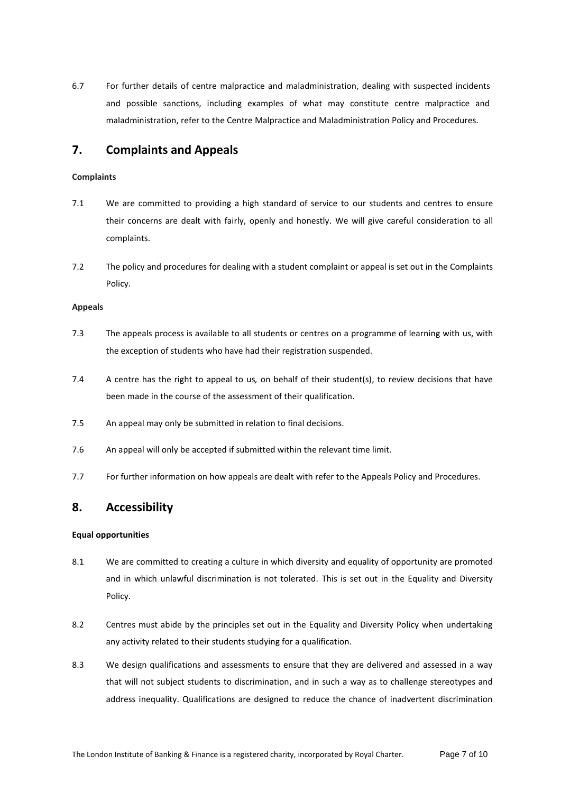6.7 For further details of centre malpractice and maladministration, dealing with suspected incidents and possible sanctions, including examples of what may constitute centre malpractice and maladministration, refer to the Centre Malpractice and Maladministration Policy and Procedures.

## **7. Complaints and Appeals**

### **Complaints**

- 7.1 We are committed to providing a high standard of service to our students and centres to ensure their concerns are dealt with fairly, openly and honestly. We will give careful consideration to all complaints.
- 7.2 The policy and procedures for dealing with a student complaint or appeal is set out in the Complaints Policy.

#### **Appeals**

- 7.3 The appeals process is available to all students or centres on a programme of learning with us, with the exception of students who have had their registration suspended.
- 7.4 A centre has the right to appeal to us*,* on behalf of their student(s), to review decisions that have been made in the course of the assessment of their qualification.
- 7.5 An appeal may only be submitted in relation to final decisions.
- 7.6 An appeal will only be accepted if submitted within the relevant time limit.
- 7.7 For further information on how appeals are dealt with refer to the Appeals Policy and Procedures.

## **8. Accessibility**

## **Equal opportunities**

- 8.1 We are committed to creating a culture in which diversity and equality of opportunity are promoted and in which unlawful discrimination is not tolerated. This is set out in the Equality and Diversity Policy.
- 8.2 Centres must abide by the principles set out in the Equality and Diversity Policy when undertaking any activity related to their students studying for a qualification.
- 8.3 We design qualifications and assessments to ensure that they are delivered and assessed in a way that will not subject students to discrimination, and in such a way as to challenge stereotypes and address inequality. Qualifications are designed to reduce the chance of inadvertent discrimination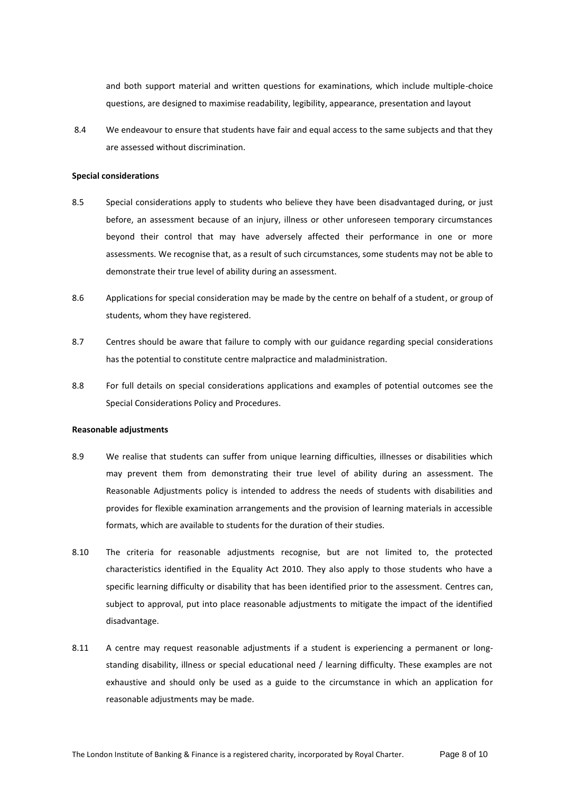and both support material and written questions for examinations, which include multiple-choice questions, are designed to maximise readability, legibility, appearance, presentation and layout

8.4 We endeavour to ensure that students have fair and equal access to the same subjects and that they are assessed without discrimination.

#### **Special considerations**

- 8.5 Special considerations apply to students who believe they have been disadvantaged during, or just before, an assessment because of an injury, illness or other unforeseen temporary circumstances beyond their control that may have adversely affected their performance in one or more assessments. We recognise that, as a result of such circumstances, some students may not be able to demonstrate their true level of ability during an assessment.
- 8.6 Applications for special consideration may be made by the centre on behalf of a student, or group of students, whom they have registered.
- 8.7 Centres should be aware that failure to comply with our guidance regarding special considerations has the potential to constitute centre malpractice and maladministration.
- 8.8 For full details on special considerations applications and examples of potential outcomes see the Special Considerations Policy and Procedures.

#### **Reasonable adjustments**

- 8.9 We realise that students can suffer from unique learning difficulties, illnesses or disabilities which may prevent them from demonstrating their true level of ability during an assessment. The Reasonable Adjustments policy is intended to address the needs of students with disabilities and provides for flexible examination arrangements and the provision of learning materials in accessible formats, which are available to students for the duration of their studies.
- 8.10 The criteria for reasonable adjustments recognise, but are not limited to, the protected characteristics identified in the Equality Act 2010. They also apply to those students who have a specific learning difficulty or disability that has been identified prior to the assessment. Centres can, subject to approval, put into place reasonable adjustments to mitigate the impact of the identified disadvantage.
- 8.11 A centre may request reasonable adjustments if a student is experiencing a permanent or longstanding disability, illness or special educational need / learning difficulty. These examples are not exhaustive and should only be used as a guide to the circumstance in which an application for reasonable adjustments may be made.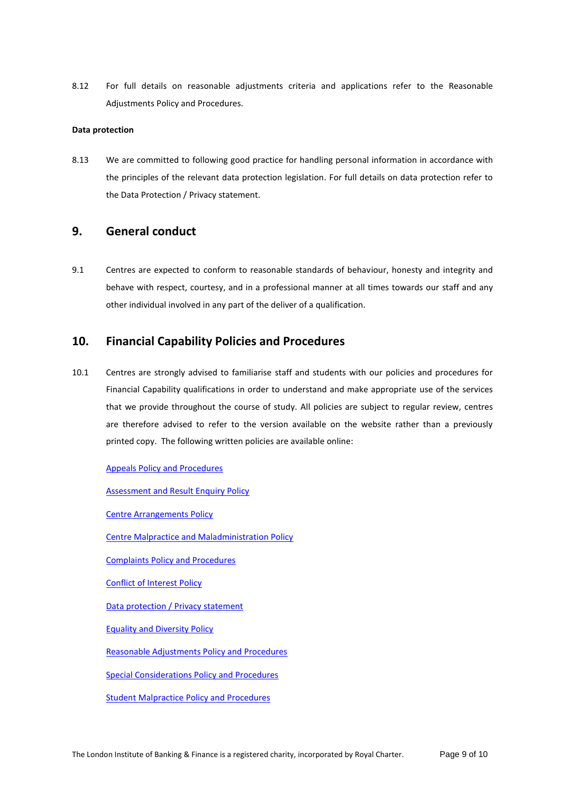8.12 For full details on reasonable adjustments criteria and applications refer to the Reasonable Adjustments Policy and Procedures.

## **Data protection**

8.13 We are committed to following good practice for handling personal information in accordance with the principles of the relevant data protection legislation. For full details on data protection refer to the Data Protection / Privacy statement.

## **9. General conduct**

9.1 Centres are expected to conform to reasonable standards of behaviour, honesty and integrity and behave with respect, courtesy, and in a professional manner at all times towards our staff and any other individual involved in any part of the deliver of a qualification.

## **10. Financial Capability Policies and Procedures**

10.1 Centres are strongly advised to familiarise staff and students with our policies and procedures for Financial Capability qualifications in order to understand and make appropriate use of the services that we provide throughout the course of study. All policies are subject to regular review, centres are therefore advised to refer to the version available on the website rather than a previously printed copy. The following written policies are available online:

#### [Appeals Policy and Procedures](http://www.libf.ac.uk/docs/default-source/Shared-FC-CPQ-policies/Shared-FC-CPQ-policies/appeals-policy.pdf?sfvrsn=0)

[Assessment and Result Enquiry Policy](http://www.libf.ac.uk/docs/default-source/financial-capability/fc-policies/fc-assessment-result-enquiry-policy.pdf?sfvrsn=2)

[Centre Arrangements Policy](http://www.libf.ac.uk/docs/default-source/Shared-FC-CPQ-policies/centre-arrangements-policy.pdf?sfvrsn=2)

[Centre Malpractice and Maladministration Policy](http://www.libf.ac.uk/docs/default-source/Shared-FC-CPQ-policies/centre-malpractice-and-maladministration-policy.pdf?sfvrsn=2)

[Complaints Policy and Procedures](http://www.libf.ac.uk/docs/default-source/financial-capability/fc-policies/fc-complaints-policy.pdf?sfvrsn=6)

[Conflict of Interest Policy](http://www.libf.ac.uk/docs/default-source/Shared-FC-CPQ-policies/conflict-of-interest-policy.pdf?sfvrsn=2)

[Data protection / Privacy statement](http://www.libf.ac.uk/about-us/data-protection-privacy-cookie-policy)

[Equality and Diversity Policy](http://www.libf.ac.uk/docs/default-source/About-us-docs/equality-and-diversity-policy-2017.pdf?sfvrsn=8)

[Reasonable Adjustments Policy and Procedures](http://www.libf.ac.uk/docs/default-source/financial-capability/fc-policies/fc-reasonable-adjustments-policy.pdf?sfvrsn=2)

[Special Considerations Policy and Procedures](http://www.libf.ac.uk/docs/default-source/financial-capability/fc-policies/fc-special-consideration-policy.pdf?sfvrsn=2)

[Student Malpractice Policy and Procedures](http://www.libf.ac.uk/docs/default-source/financial-capability/fc-policies/fc-student-malpractice-policy.pdf?sfvrsn=2)